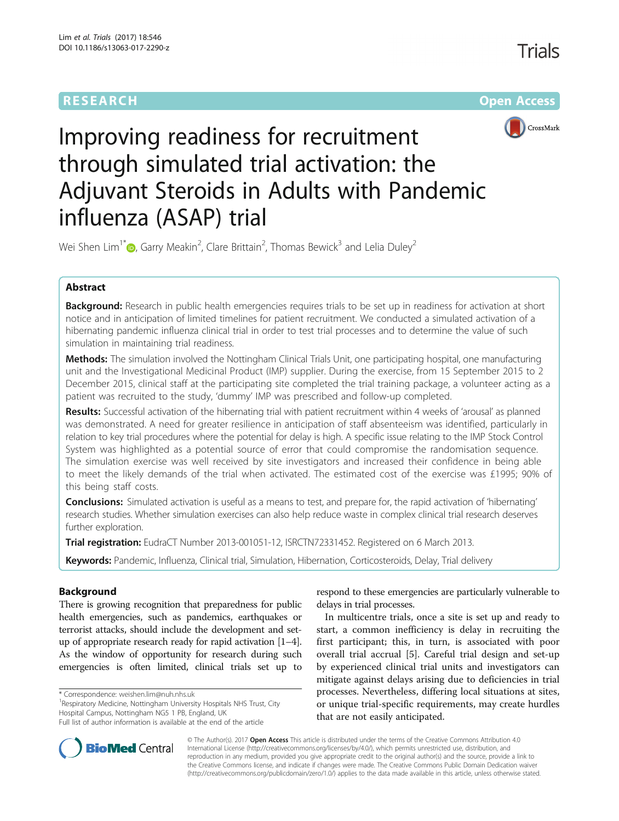# **RESEARCH CHE Open Access**



# Improving readiness for recruitment through simulated trial activation: the Adjuvant Steroids in Adults with Pandemic influenza (ASAP) trial

Wei Shen Lim<sup>1\*</sup> $\text{O}$ [,](http://orcid.org/0000-0002-7694-3051) Garry Meakin<sup>2</sup>, Clare Brittain<sup>2</sup>, Thomas Bewick<sup>3</sup> and Lelia Duley<sup>2</sup>

# Abstract

Background: Research in public health emergencies requires trials to be set up in readiness for activation at short notice and in anticipation of limited timelines for patient recruitment. We conducted a simulated activation of a hibernating pandemic influenza clinical trial in order to test trial processes and to determine the value of such simulation in maintaining trial readiness.

Methods: The simulation involved the Nottingham Clinical Trials Unit, one participating hospital, one manufacturing unit and the Investigational Medicinal Product (IMP) supplier. During the exercise, from 15 September 2015 to 2 December 2015, clinical staff at the participating site completed the trial training package, a volunteer acting as a patient was recruited to the study, 'dummy' IMP was prescribed and follow-up completed.

Results: Successful activation of the hibernating trial with patient recruitment within 4 weeks of 'arousal' as planned was demonstrated. A need for greater resilience in anticipation of staff absenteeism was identified, particularly in relation to key trial procedures where the potential for delay is high. A specific issue relating to the IMP Stock Control System was highlighted as a potential source of error that could compromise the randomisation sequence. The simulation exercise was well received by site investigators and increased their confidence in being able to meet the likely demands of the trial when activated. The estimated cost of the exercise was £1995; 90% of this being staff costs.

**Conclusions:** Simulated activation is useful as a means to test, and prepare for, the rapid activation of 'hibernating' research studies. Whether simulation exercises can also help reduce waste in complex clinical trial research deserves further exploration.

Trial registration: EudraCT Number 2013-001051-12, [ISRCTN72331452.](https://www.clinicaltrialsregister.eu/ctr-search/search?query=2013-001051-12) Registered on 6 March 2013.

Keywords: Pandemic, Influenza, Clinical trial, Simulation, Hibernation, Corticosteroids, Delay, Trial delivery

## Background

There is growing recognition that preparedness for public health emergencies, such as pandemics, earthquakes or terrorist attacks, should include the development and setup of appropriate research ready for rapid activation [\[1](#page-5-0)–[4](#page-5-0)]. As the window of opportunity for research during such emergencies is often limited, clinical trials set up to

\* Correspondence: [weishen.lim@nuh.nhs.uk](mailto:weishen.lim@nuh.nhs.uk) <sup>1</sup>

<sup>1</sup> Respiratory Medicine, Nottingham University Hospitals NHS Trust, City Hospital Campus, Nottingham NG5 1 PB, England, UK

respond to these emergencies are particularly vulnerable to delays in trial processes.

In multicentre trials, once a site is set up and ready to start, a common inefficiency is delay in recruiting the first participant; this, in turn, is associated with poor overall trial accrual [[5\]](#page-5-0). Careful trial design and set-up by experienced clinical trial units and investigators can mitigate against delays arising due to deficiencies in trial processes. Nevertheless, differing local situations at sites, or unique trial-specific requirements, may create hurdles that are not easily anticipated.



© The Author(s). 2017 **Open Access** This article is distributed under the terms of the Creative Commons Attribution 4.0 International License [\(http://creativecommons.org/licenses/by/4.0/](http://creativecommons.org/licenses/by/4.0/)), which permits unrestricted use, distribution, and reproduction in any medium, provided you give appropriate credit to the original author(s) and the source, provide a link to the Creative Commons license, and indicate if changes were made. The Creative Commons Public Domain Dedication waiver [\(http://creativecommons.org/publicdomain/zero/1.0/](http://creativecommons.org/publicdomain/zero/1.0/)) applies to the data made available in this article, unless otherwise stated.

Full list of author information is available at the end of the article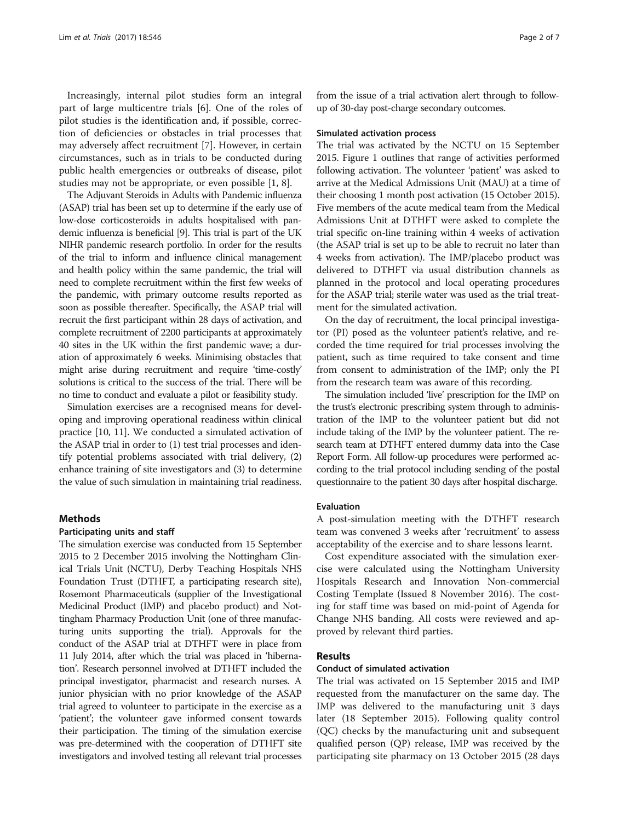Increasingly, internal pilot studies form an integral part of large multicentre trials [[6\]](#page-5-0). One of the roles of pilot studies is the identification and, if possible, correction of deficiencies or obstacles in trial processes that may adversely affect recruitment [\[7\]](#page-5-0). However, in certain circumstances, such as in trials to be conducted during public health emergencies or outbreaks of disease, pilot studies may not be appropriate, or even possible [[1, 8\]](#page-5-0).

The Adjuvant Steroids in Adults with Pandemic influenza (ASAP) trial has been set up to determine if the early use of low-dose corticosteroids in adults hospitalised with pandemic influenza is beneficial [\[9\]](#page-5-0). This trial is part of the UK NIHR pandemic research portfolio. In order for the results of the trial to inform and influence clinical management and health policy within the same pandemic, the trial will need to complete recruitment within the first few weeks of the pandemic, with primary outcome results reported as soon as possible thereafter. Specifically, the ASAP trial will recruit the first participant within 28 days of activation, and complete recruitment of 2200 participants at approximately 40 sites in the UK within the first pandemic wave; a duration of approximately 6 weeks. Minimising obstacles that might arise during recruitment and require 'time-costly' solutions is critical to the success of the trial. There will be no time to conduct and evaluate a pilot or feasibility study.

Simulation exercises are a recognised means for developing and improving operational readiness within clinical practice [[10](#page-5-0), [11](#page-5-0)]. We conducted a simulated activation of the ASAP trial in order to (1) test trial processes and identify potential problems associated with trial delivery, (2) enhance training of site investigators and (3) to determine the value of such simulation in maintaining trial readiness.

## Methods

## Participating units and staff

The simulation exercise was conducted from 15 September 2015 to 2 December 2015 involving the Nottingham Clinical Trials Unit (NCTU), Derby Teaching Hospitals NHS Foundation Trust (DTHFT, a participating research site), Rosemont Pharmaceuticals (supplier of the Investigational Medicinal Product (IMP) and placebo product) and Nottingham Pharmacy Production Unit (one of three manufacturing units supporting the trial). Approvals for the conduct of the ASAP trial at DTHFT were in place from 11 July 2014, after which the trial was placed in 'hibernation'. Research personnel involved at DTHFT included the principal investigator, pharmacist and research nurses. A junior physician with no prior knowledge of the ASAP trial agreed to volunteer to participate in the exercise as a 'patient'; the volunteer gave informed consent towards their participation. The timing of the simulation exercise was pre-determined with the cooperation of DTHFT site investigators and involved testing all relevant trial processes

from the issue of a trial activation alert through to followup of 30-day post-charge secondary outcomes.

#### Simulated activation process

The trial was activated by the NCTU on 15 September 2015. Figure [1](#page-2-0) outlines that range of activities performed following activation. The volunteer 'patient' was asked to arrive at the Medical Admissions Unit (MAU) at a time of their choosing 1 month post activation (15 October 2015). Five members of the acute medical team from the Medical Admissions Unit at DTHFT were asked to complete the trial specific on-line training within 4 weeks of activation (the ASAP trial is set up to be able to recruit no later than 4 weeks from activation). The IMP/placebo product was delivered to DTHFT via usual distribution channels as planned in the protocol and local operating procedures for the ASAP trial; sterile water was used as the trial treatment for the simulated activation.

On the day of recruitment, the local principal investigator (PI) posed as the volunteer patient's relative, and recorded the time required for trial processes involving the patient, such as time required to take consent and time from consent to administration of the IMP; only the PI from the research team was aware of this recording.

The simulation included 'live' prescription for the IMP on the trust's electronic prescribing system through to administration of the IMP to the volunteer patient but did not include taking of the IMP by the volunteer patient. The research team at DTHFT entered dummy data into the Case Report Form. All follow-up procedures were performed according to the trial protocol including sending of the postal questionnaire to the patient 30 days after hospital discharge.

## Evaluation

A post-simulation meeting with the DTHFT research team was convened 3 weeks after 'recruitment' to assess acceptability of the exercise and to share lessons learnt.

Cost expenditure associated with the simulation exercise were calculated using the Nottingham University Hospitals Research and Innovation Non-commercial Costing Template (Issued 8 November 2016). The costing for staff time was based on mid-point of Agenda for Change NHS banding. All costs were reviewed and approved by relevant third parties.

## Results

## Conduct of simulated activation

The trial was activated on 15 September 2015 and IMP requested from the manufacturer on the same day. The IMP was delivered to the manufacturing unit 3 days later (18 September 2015). Following quality control (QC) checks by the manufacturing unit and subsequent qualified person (QP) release, IMP was received by the participating site pharmacy on 13 October 2015 (28 days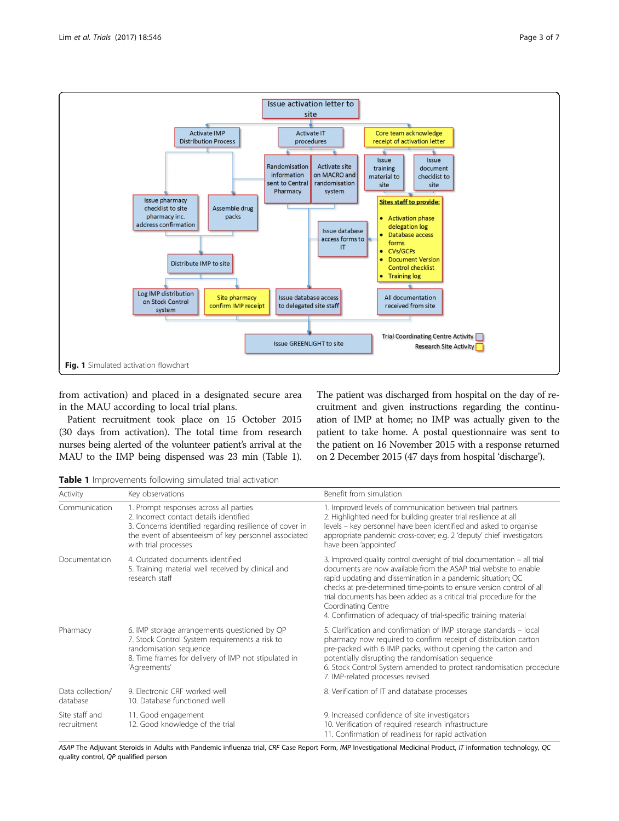

<span id="page-2-0"></span>

from activation) and placed in a designated secure area in the MAU according to local trial plans.

Patient recruitment took place on 15 October 2015 (30 days from activation). The total time from research nurses being alerted of the volunteer patient's arrival at the MAU to the IMP being dispensed was 23 min (Table 1). The patient was discharged from hospital on the day of recruitment and given instructions regarding the continuation of IMP at home; no IMP was actually given to the patient to take home. A postal questionnaire was sent to the patient on 16 November 2015 with a response returned on 2 December 2015 (47 days from hospital 'discharge').

Table 1 Improvements following simulated trial activation

| Activity                      | Key observations                                                                                                                                                                                                             | Benefit from simulation                                                                                                                                                                                                                                                                                                                                                                                                                                  |  |
|-------------------------------|------------------------------------------------------------------------------------------------------------------------------------------------------------------------------------------------------------------------------|----------------------------------------------------------------------------------------------------------------------------------------------------------------------------------------------------------------------------------------------------------------------------------------------------------------------------------------------------------------------------------------------------------------------------------------------------------|--|
| Communication                 | 1. Prompt responses across all parties<br>2. Incorrect contact details identified<br>3. Concerns identified regarding resilience of cover in<br>the event of absenteeism of key personnel associated<br>with trial processes | 1. Improved levels of communication between trial partners<br>2. Highlighted need for building greater trial resilience at all<br>levels - key personnel have been identified and asked to organise<br>appropriate pandemic cross-cover; e.g. 2 'deputy' chief investigators<br>have been 'appointed'                                                                                                                                                    |  |
| Documentation                 | 4. Outdated documents identified<br>5. Training material well received by clinical and<br>research staff                                                                                                                     | 3. Improved quality control oversight of trial documentation - all trial<br>documents are now available from the ASAP trial website to enable<br>rapid updating and dissemination in a pandemic situation; QC<br>checks at pre-determined time-points to ensure version control of all<br>trial documents has been added as a critical trial procedure for the<br>Coordinating Centre<br>4. Confirmation of adequacy of trial-specific training material |  |
| Pharmacy                      | 6. IMP storage arrangements questioned by QP<br>7. Stock Control System requirements a risk to<br>randomisation sequence<br>8. Time frames for delivery of IMP not stipulated in<br>'Agreements'                             | 5. Clarification and confirmation of IMP storage standards - local<br>pharmacy now required to confirm receipt of distribution carton<br>pre-packed with 6 IMP packs, without opening the carton and<br>potentially disrupting the randomisation sequence<br>6. Stock Control System amended to protect randomisation procedure<br>7. IMP-related processes revised                                                                                      |  |
| Data collection/<br>database  | 9. Electronic CRF worked well<br>10. Database functioned well                                                                                                                                                                | 8. Verification of IT and database processes                                                                                                                                                                                                                                                                                                                                                                                                             |  |
| Site staff and<br>recruitment | 11. Good engagement<br>12. Good knowledge of the trial                                                                                                                                                                       | 9. Increased confidence of site investigators<br>10. Verification of required research infrastructure<br>11. Confirmation of readiness for rapid activation                                                                                                                                                                                                                                                                                              |  |

ASAP The Adjuvant Steroids in Adults with Pandemic influenza trial, CRF Case Report Form, IMP Investigational Medicinal Product, IT information technology, QC quality control, QP qualified person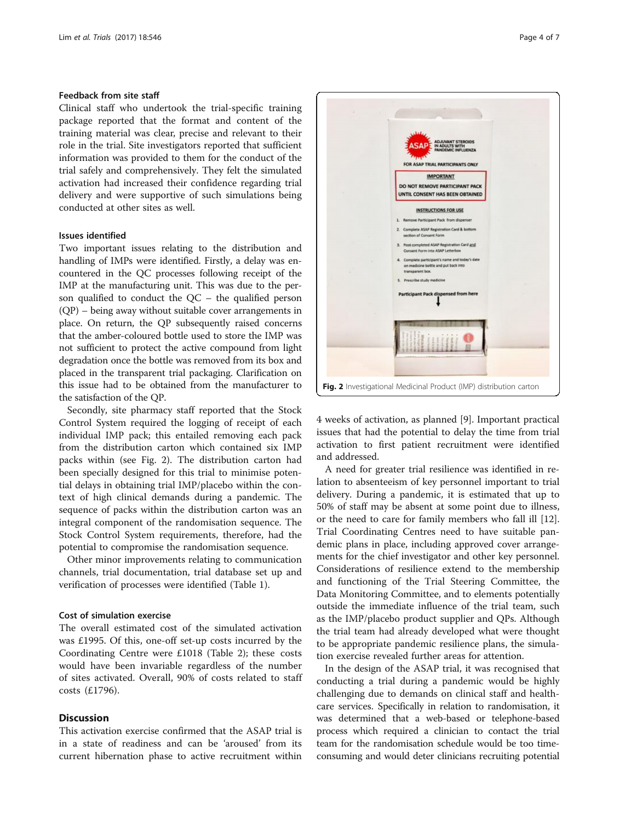## Feedback from site staff

Clinical staff who undertook the trial-specific training package reported that the format and content of the training material was clear, precise and relevant to their role in the trial. Site investigators reported that sufficient information was provided to them for the conduct of the trial safely and comprehensively. They felt the simulated activation had increased their confidence regarding trial delivery and were supportive of such simulations being conducted at other sites as well.

## Issues identified

Two important issues relating to the distribution and handling of IMPs were identified. Firstly, a delay was encountered in the QC processes following receipt of the IMP at the manufacturing unit. This was due to the person qualified to conduct the QC – the qualified person (QP) – being away without suitable cover arrangements in place. On return, the QP subsequently raised concerns that the amber-coloured bottle used to store the IMP was not sufficient to protect the active compound from light degradation once the bottle was removed from its box and placed in the transparent trial packaging. Clarification on this issue had to be obtained from the manufacturer to the satisfaction of the QP.

Secondly, site pharmacy staff reported that the Stock Control System required the logging of receipt of each individual IMP pack; this entailed removing each pack from the distribution carton which contained six IMP packs within (see Fig. 2). The distribution carton had been specially designed for this trial to minimise potential delays in obtaining trial IMP/placebo within the context of high clinical demands during a pandemic. The sequence of packs within the distribution carton was an integral component of the randomisation sequence. The Stock Control System requirements, therefore, had the potential to compromise the randomisation sequence.

Other minor improvements relating to communication channels, trial documentation, trial database set up and verification of processes were identified (Table [1](#page-2-0)).

## Cost of simulation exercise

The overall estimated cost of the simulated activation was £1995. Of this, one-off set-up costs incurred by the Coordinating Centre were £1018 (Table [2\)](#page-4-0); these costs would have been invariable regardless of the number of sites activated. Overall, 90% of costs related to staff costs (£1796).

## **Discussion**

This activation exercise confirmed that the ASAP trial is in a state of readiness and can be 'aroused' from its current hibernation phase to active recruitment within



4 weeks of activation, as planned [[9\]](#page-5-0). Important practical issues that had the potential to delay the time from trial activation to first patient recruitment were identified and addressed.

A need for greater trial resilience was identified in relation to absenteeism of key personnel important to trial delivery. During a pandemic, it is estimated that up to 50% of staff may be absent at some point due to illness, or the need to care for family members who fall ill [\[12](#page-5-0)]. Trial Coordinating Centres need to have suitable pandemic plans in place, including approved cover arrangements for the chief investigator and other key personnel. Considerations of resilience extend to the membership and functioning of the Trial Steering Committee, the Data Monitoring Committee, and to elements potentially outside the immediate influence of the trial team, such as the IMP/placebo product supplier and QPs. Although the trial team had already developed what were thought to be appropriate pandemic resilience plans, the simulation exercise revealed further areas for attention.

In the design of the ASAP trial, it was recognised that conducting a trial during a pandemic would be highly challenging due to demands on clinical staff and healthcare services. Specifically in relation to randomisation, it was determined that a web-based or telephone-based process which required a clinician to contact the trial team for the randomisation schedule would be too timeconsuming and would deter clinicians recruiting potential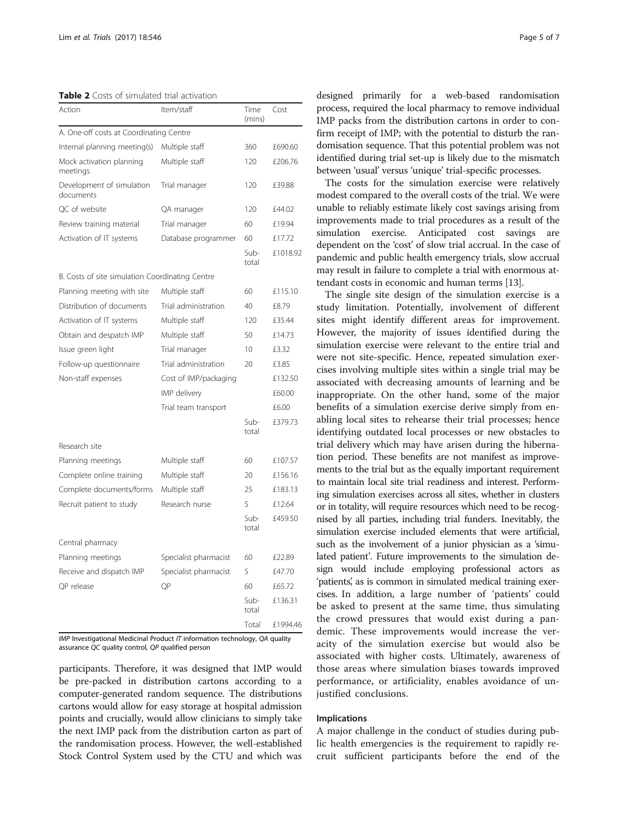## <span id="page-4-0"></span>Table 2 Costs of simulated trial activation

| Action                                          | ltem/staff            | Time<br>(mins) | Cost     |
|-------------------------------------------------|-----------------------|----------------|----------|
| A. One-off costs at Coordinating Centre         |                       |                |          |
| Internal planning meeting(s)                    | Multiple staff        | 360            | £690.60  |
| Mock activation planning<br>meetings            | Multiple staff        | 120            | £206.76  |
| Development of simulation<br>documents          | Trial manager         | 120            | £39.88   |
| QC of website                                   | QA manager            | 120            | £44.02   |
| Review training material                        | Trial manager         | 60             | £19.94   |
| Activation of IT systems                        | Database programmer   | 60             | £17.72   |
|                                                 |                       | Sub-<br>total  | £1018.92 |
| B. Costs of site simulation Coordinating Centre |                       |                |          |
| Planning meeting with site                      | Multiple staff        | 60             | £115.10  |
| Distribution of documents                       | Trial administration  | 40             | £8.79    |
| Activation of IT systems                        | Multiple staff        | 120            | £35.44   |
| Obtain and despatch IMP                         | Multiple staff        | 50             | £14.73   |
| Issue green light                               | Trial manager         | 10             | £3.32    |
| Follow-up questionnaire                         | Trial administration  | 20             | £3.85    |
| Non-staff expenses                              | Cost of IMP/packaging |                | £132.50  |
|                                                 | IMP delivery          |                | £60.00   |
|                                                 | Trial team transport  |                | £6.00    |
|                                                 |                       | Sub-<br>total  | £379.73  |
| Research site                                   |                       |                |          |
| Planning meetings                               | Multiple staff        | 60             | £107.57  |
| Complete online training                        | Multiple staff        | 20             | £156.16  |
| Complete documents/forms                        | Multiple staff        | 25             | £183.13  |
| Recruit patient to study                        | Research nurse        | 5              | £12.64   |
|                                                 |                       | Sub-<br>total  | £459.50  |
| Central pharmacy                                |                       |                |          |
| Planning meetings                               | Specialist pharmacist | 60             | £22.89   |
| Receive and dispatch IMP                        | Specialist pharmacist | 5              | £47.70   |
| QP release                                      | QP                    | 60             | £65.72   |
|                                                 |                       | Sub-<br>total  | £136.31  |
|                                                 |                       | Total          | £1994.46 |

IMP Investigational Medicinal Product IT information technology, QA quality assurance QC quality control, QP qualified person

participants. Therefore, it was designed that IMP would be pre-packed in distribution cartons according to a computer-generated random sequence. The distributions cartons would allow for easy storage at hospital admission points and crucially, would allow clinicians to simply take the next IMP pack from the distribution carton as part of the randomisation process. However, the well-established Stock Control System used by the CTU and which was

designed primarily for a web-based randomisation process, required the local pharmacy to remove individual IMP packs from the distribution cartons in order to confirm receipt of IMP; with the potential to disturb the randomisation sequence. That this potential problem was not identified during trial set-up is likely due to the mismatch between 'usual' versus 'unique' trial-specific processes.

The costs for the simulation exercise were relatively modest compared to the overall costs of the trial. We were unable to reliably estimate likely cost savings arising from improvements made to trial procedures as a result of the simulation exercise. Anticipated cost savings are dependent on the 'cost' of slow trial accrual. In the case of pandemic and public health emergency trials, slow accrual may result in failure to complete a trial with enormous attendant costs in economic and human terms [\[13\]](#page-6-0).

The single site design of the simulation exercise is a study limitation. Potentially, involvement of different sites might identify different areas for improvement. However, the majority of issues identified during the simulation exercise were relevant to the entire trial and were not site-specific. Hence, repeated simulation exercises involving multiple sites within a single trial may be associated with decreasing amounts of learning and be inappropriate. On the other hand, some of the major benefits of a simulation exercise derive simply from enabling local sites to rehearse their trial processes; hence identifying outdated local processes or new obstacles to trial delivery which may have arisen during the hibernation period. These benefits are not manifest as improvements to the trial but as the equally important requirement to maintain local site trial readiness and interest. Performing simulation exercises across all sites, whether in clusters or in totality, will require resources which need to be recognised by all parties, including trial funders. Inevitably, the simulation exercise included elements that were artificial, such as the involvement of a junior physician as a 'simulated patient'. Future improvements to the simulation design would include employing professional actors as 'patients', as is common in simulated medical training exercises. In addition, a large number of 'patients' could be asked to present at the same time, thus simulating the crowd pressures that would exist during a pandemic. These improvements would increase the veracity of the simulation exercise but would also be associated with higher costs. Ultimately, awareness of those areas where simulation biases towards improved performance, or artificiality, enables avoidance of unjustified conclusions.

## Implications

A major challenge in the conduct of studies during public health emergencies is the requirement to rapidly recruit sufficient participants before the end of the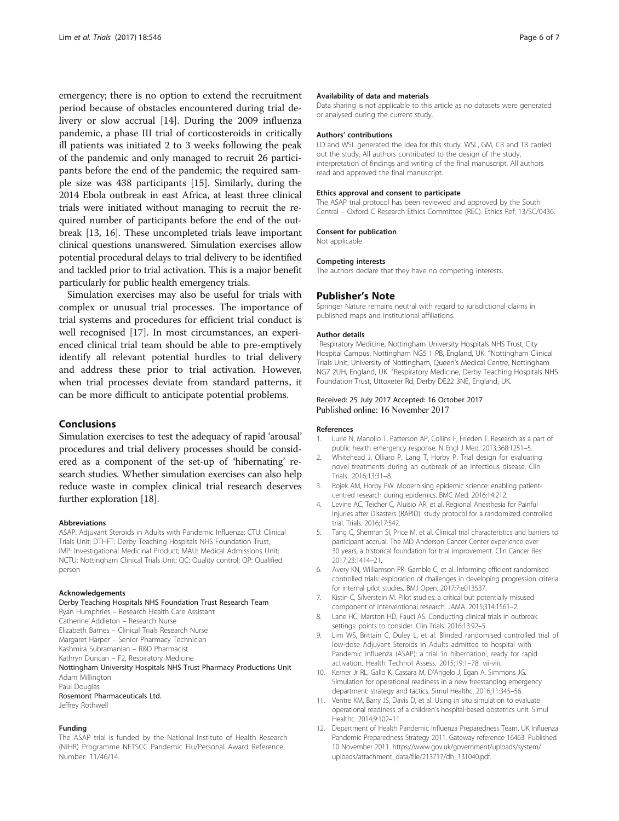<span id="page-5-0"></span>emergency; there is no option to extend the recruitment period because of obstacles encountered during trial delivery or slow accrual [\[14](#page-6-0)]. During the 2009 influenza pandemic, a phase III trial of corticosteroids in critically ill patients was initiated 2 to 3 weeks following the peak of the pandemic and only managed to recruit 26 participants before the end of the pandemic; the required sample size was 438 participants [[15\]](#page-6-0). Similarly, during the 2014 Ebola outbreak in east Africa, at least three clinical trials were initiated without managing to recruit the required number of participants before the end of the outbreak [[13](#page-6-0), [16\]](#page-6-0). These uncompleted trials leave important clinical questions unanswered. Simulation exercises allow potential procedural delays to trial delivery to be identified and tackled prior to trial activation. This is a major benefit particularly for public health emergency trials.

Simulation exercises may also be useful for trials with complex or unusual trial processes. The importance of trial systems and procedures for efficient trial conduct is well recognised [[17\]](#page-6-0). In most circumstances, an experienced clinical trial team should be able to pre-emptively identify all relevant potential hurdles to trial delivery and address these prior to trial activation. However, when trial processes deviate from standard patterns, it can be more difficult to anticipate potential problems.

## Conclusions

Simulation exercises to test the adequacy of rapid 'arousal' procedures and trial delivery processes should be considered as a component of the set-up of 'hibernating' research studies. Whether simulation exercises can also help reduce waste in complex clinical trial research deserves further exploration [\[18\]](#page-6-0).

#### Abbreviations

ASAP: Adjuvant Steroids in Adults with Pandemic Influenza; CTU: Clinical Trials Unit; DTHFT: Derby Teaching Hospitals NHS Foundation Trust; IMP: Investigational Medicinal Product; MAU: Medical Admissions Unit; NCTU: Nottingham Clinical Trials Unit; QC: Quality control; QP: Qualified person

#### Acknowledgements

## Derby Teaching Hospitals NHS Foundation Trust Research Team

Ryan Humphries – Research Health Care Assistant

Catherine Addleton – Research Nurse

Elizabeth Barnes – Clinical Trials Research Nurse

Margaret Harper – Senior Pharmacy Technician Kashmira Subramanian – R&D Pharmacist

Kathryn Duncan – F2, Respiratory Medicine

Nottingham University Hospitals NHS Trust Pharmacy Productions Unit Adam Millington

Paul Douglas

Rosemont Pharmaceuticals Ltd. Jeffrey Rothwell

#### Funding

The ASAP trial is funded by the National Institute of Health Research (NIHR) Programme NETSCC Pandemic Flu/Personal Award Reference Number: 11/46/14.

## Availability of data and materials

Data sharing is not applicable to this article as no datasets were generated or analysed during the current study.

#### Authors' contributions

LD and WSL generated the idea for this study. WSL, GM, CB and TB carried out the study. All authors contributed to the design of the study, interpretation of findings and writing of the final manuscript. All authors read and approved the final manuscript.

#### Ethics approval and consent to participate

The ASAP trial protocol has been reviewed and approved by the South Central – Oxford C Research Ethics Committee (REC). Ethics Ref: 13/SC/0436.

#### Consent for publication

Not applicable

#### Competing interests

The authors declare that they have no competing interests.

## Publisher's Note

Springer Nature remains neutral with regard to jurisdictional claims in published maps and institutional affiliations.

#### Author details

<sup>1</sup> Respiratory Medicine, Nottingham University Hospitals NHS Trust, City Hospital Campus, Nottingham NG5 1 PB, England, UK.<sup>2</sup>Nottingham Clinical Trials Unit, University of Nottingham, Queen's Medical Centre, Nottingham NG7 2UH, England, UK. <sup>3</sup>Respiratory Medicine, Derby Teaching Hospitals NHS Foundation Trust, Uttoxeter Rd, Derby DE22 3NE, England, UK.

## Received: 25 July 2017 Accepted: 16 October 2017 Published online: 16 November 2017

#### References

- 1. Lurie N, Manolio T, Patterson AP, Collins F, Frieden T. Research as a part of public health emergency response. N Engl J Med. 2013;368:1251–5.
- 2. Whitehead J, Olliaro P, Lang T, Horby P. Trial design for evaluating novel treatments during an outbreak of an infectious disease. Clin Trials. 2016;13:31–8.
- 3. Rojek AM, Horby PW. Modernising epidemic science: enabling patientcentred research during epidemics. BMC Med. 2016;14:212.
- 4. Levine AC, Teicher C, Aluisio AR, et al. Regional Anesthesia for Painful Injuries after Disasters (RAPID): study protocol for a randomized controlled trial. Trials. 2016;17:542.
- 5. Tang C, Sherman SI, Price M, et al. Clinical trial characteristics and barriers to participant accrual: The MD Anderson Cancer Center experience over 30 years, a historical foundation for trial improvement. Clin Cancer Res. 2017;23:1414–21.
- 6. Avery KN, Williamson PR, Gamble C, et al. Informing efficient randomised controlled trials: exploration of challenges in developing progression criteria for internal pilot studies. BMJ Open. 2017;7:e013537.
- 7. Kistin C, Silverstein M. Pilot studies: a critical but potentially misused component of interventional research. JAMA. 2015;314:1561–2.
- 8. Lane HC, Marston HD, Fauci AS. Conducting clinical trials in outbreak settings: points to consider. Clin Trials. 2016;13:92–5.
- 9. Lim WS, Brittain C, Duley L, et al. Blinded randomised controlled trial of low-dose Adjuvant Steroids in Adults admitted to hospital with Pandemic influenza (ASAP): a trial 'in hibernation', ready for rapid activation. Health Technol Assess. 2015;19:1–78. vii-viii.
- 10. Kerner Jr RL, Gallo K, Cassara M, D'Angelo J, Egan A, Simmons JG. Simulation for operational readiness in a new freestanding emergency department: strategy and tactics. Simul Healthc. 2016;11:345–56.
- 11. Ventre KM, Barry JS, Davis D, et al. Using in situ simulation to evaluate operational readiness of a children's hospital-based obstetrics unit. Simul Healthc. 2014;9:102–11.
- 12. Department of Health Pandemic Influenza Preparedness Team. UK Influenza Pandemic Preparedness Strategy 2011. Gateway reference 16463. Published 10 November 2011. [https://www.gov.uk/government/uploads/system/](https://www.gov.uk/government/uploads/system/uploads/attachment_data/file/213717/dh_131040.pdf) [uploads/attachment\\_data/file/213717/dh\\_131040.pdf.](https://www.gov.uk/government/uploads/system/uploads/attachment_data/file/213717/dh_131040.pdf)